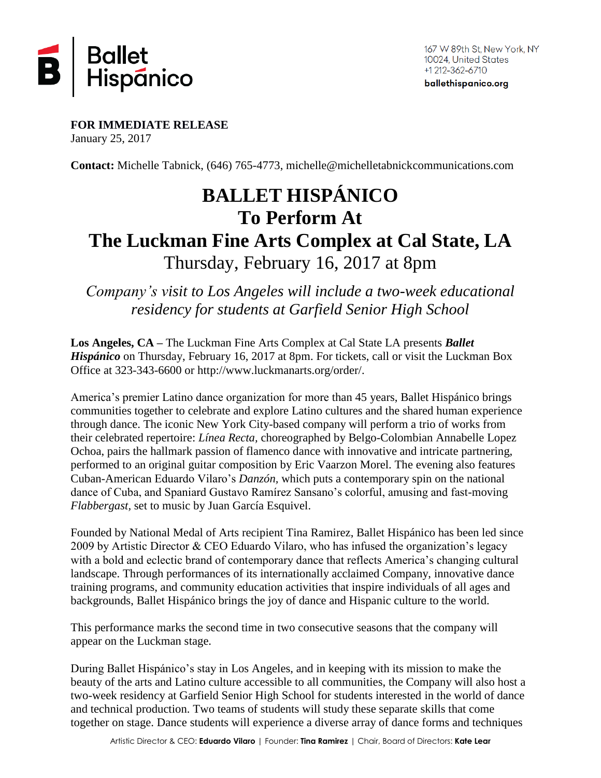

ballethispanico.org

**FOR IMMEDIATE RELEASE** January 25, 2017

**Contact:** Michelle Tabnick, (646) 765-4773, [michelle@michelletabnickcommunications.com](mailto:michelle@michelletabnickcommunications.com)

# **BALLET HISPÁNICO To Perform At The Luckman Fine Arts Complex at Cal State, LA** Thursday, February 16, 2017 at 8pm

*Company's visit to Los Angeles will include a two-week educational residency for students at Garfield Senior High School*

**Los Angeles, CA –** The Luckman Fine Arts Complex at Cal State LA presents *Ballet Hispánico* on Thursday, February 16, 2017 at 8pm. For tickets, call or visit the Luckman Box Office at 323-343-6600 or [http://www.luckmanarts.org/order/.](http://www.luckmanarts.org/order/)

America's premier Latino dance organization for more than 45 years, Ballet Hispánico brings communities together to celebrate and explore Latino cultures and the shared human experience through dance. The iconic New York City-based company will perform a trio of works from their celebrated repertoire: *Línea Recta,* choreographed by Belgo-Colombian Annabelle Lopez Ochoa, pairs the hallmark passion of flamenco dance with innovative and intricate partnering, performed to an original guitar composition by Eric Vaarzon Morel. The evening also features Cuban-American Eduardo Vilaro's *Danzón,* which puts a contemporary spin on the national dance of Cuba, and Spaniard Gustavo Ramírez Sansano's colorful, amusing and fast-moving *Flabbergast,* set to music by Juan García Esquivel.

Founded by National Medal of Arts recipient Tina Ramirez, Ballet Hispánico has been led since 2009 by Artistic Director & CEO Eduardo Vilaro, who has infused the organization's legacy with a bold and eclectic brand of contemporary dance that reflects America's changing cultural landscape. Through performances of its internationally acclaimed Company, innovative dance training programs, and community education activities that inspire individuals of all ages and backgrounds, Ballet Hispánico brings the joy of dance and Hispanic culture to the world.

This performance marks the second time in two consecutive seasons that the company will appear on the Luckman stage.

During Ballet Hispánico's stay in Los Angeles, and in keeping with its mission to make the beauty of the arts and Latino culture accessible to all communities, the Company will also host a two-week residency at Garfield Senior High School for students interested in the world of dance and technical production. Two teams of students will study these separate skills that come together on stage. Dance students will experience a diverse array of dance forms and techniques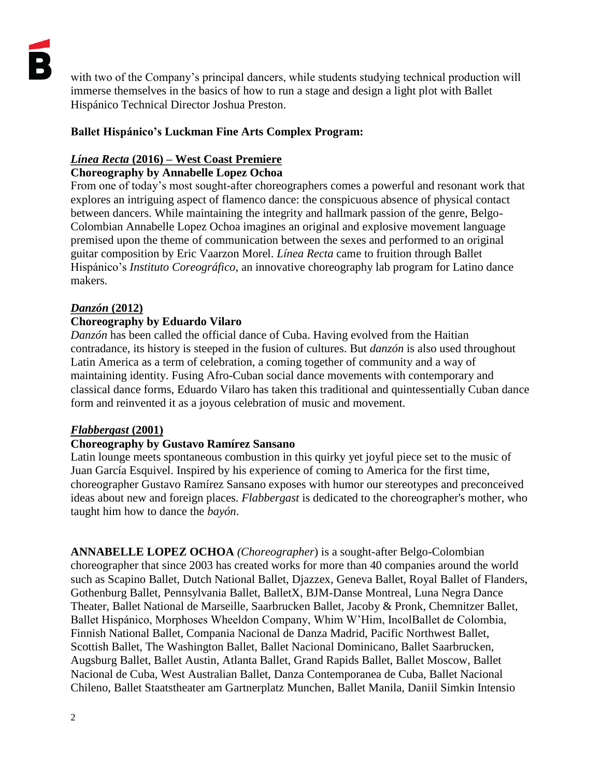with two of the Company's principal dancers, while students studying technical production will immerse themselves in the basics of how to run a stage and design a light plot with Ballet Hispánico Technical Director Joshua Preston.

## **Ballet Hispánico's Luckman Fine Arts Complex Program:**

### *Línea Recta* **(2016) – West Coast Premiere**

#### **Choreography by Annabelle Lopez Ochoa**

From one of today's most sought-after choreographers comes a powerful and resonant work that explores an intriguing aspect of flamenco dance: the conspicuous absence of physical contact between dancers. While maintaining the integrity and hallmark passion of the genre, Belgo-Colombian Annabelle Lopez Ochoa imagines an original and explosive movement language premised upon the theme of communication between the sexes and performed to an original guitar composition by Eric Vaarzon Morel. *Línea Recta* came to fruition through Ballet Hispánico's *Instituto Coreográfico*, an innovative choreography lab program for Latino dance makers.

#### *Danzón* **(2012)**

#### **Choreography by Eduardo Vilaro**

*Danzón* has been called the official dance of Cuba. Having evolved from the Haitian contradance, its history is steeped in the fusion of cultures. But *danzón* is also used throughout Latin America as a term of celebration, a coming together of community and a way of maintaining identity. Fusing Afro-Cuban social dance movements with contemporary and classical dance forms, Eduardo Vilaro has taken this traditional and quintessentially Cuban dance form and reinvented it as a joyous celebration of music and movement.

#### *Flabbergast* **(2001)**

#### **Choreography by Gustavo Ramírez Sansano**

Latin lounge meets spontaneous combustion in this quirky yet joyful piece set to the music of Juan García Esquivel. Inspired by his experience of coming to America for the first time, choreographer Gustavo Ramírez Sansano exposes with humor our stereotypes and preconceived ideas about new and foreign places. *Flabbergast* is dedicated to the choreographer's mother, who taught him how to dance the *bayón*.

**ANNABELLE LOPEZ OCHOA** *(Choreographer*) is a sought-after Belgo-Colombian choreographer that since 2003 has created works for more than 40 companies around the world such as Scapino Ballet, Dutch National Ballet, Djazzex, Geneva Ballet, Royal Ballet of Flanders, Gothenburg Ballet, Pennsylvania Ballet, BalletX, BJM-Danse Montreal, Luna Negra Dance Theater, Ballet National de Marseille, Saarbrucken Ballet, Jacoby & Pronk, Chemnitzer Ballet, Ballet Hispánico, Morphoses Wheeldon Company, Whim W'Him, IncolBallet de Colombia, Finnish National Ballet, Compania Nacional de Danza Madrid, Pacific Northwest Ballet, Scottish Ballet, The Washington Ballet, Ballet Nacional Dominicano, Ballet Saarbrucken, Augsburg Ballet, Ballet Austin, Atlanta Ballet, Grand Rapids Ballet, Ballet Moscow, Ballet Nacional de Cuba, West Australian Ballet, Danza Contemporanea de Cuba, Ballet Nacional Chileno, Ballet Staatstheater am Gartnerplatz Munchen, Ballet Manila, Daniil Simkin Intensio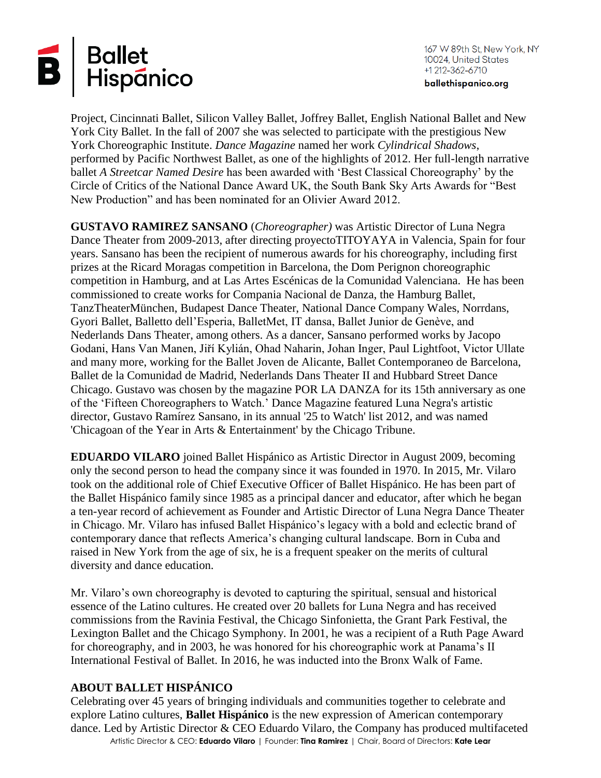

167 W 89th St, New York, NY 10024, United States +1 212-362-6710

ballethispanico.org

Project, Cincinnati Ballet, Silicon Valley Ballet, Joffrey Ballet, English National Ballet and New York City Ballet. In the fall of 2007 she was selected to participate with the prestigious New York Choreographic Institute. *Dance Magazine* named her work *Cylindrical Shadows*, performed by Pacific Northwest Ballet, as one of the highlights of 2012. Her full-length narrative ballet *A Streetcar Named Desire* has been awarded with 'Best Classical Choreography' by the Circle of Critics of the National Dance Award UK, the South Bank Sky Arts Awards for "Best New Production" and has been nominated for an Olivier Award 2012.

**GUSTAVO RAMIREZ SANSANO** (*Choreographer)* was Artistic Director of Luna Negra Dance Theater from 2009-2013, after directing proyectoTITOYAYA in Valencia, Spain for four years. Sansano has been the recipient of numerous awards for his choreography, including first prizes at the Ricard Moragas competition in Barcelona, the Dom Perignon choreographic competition in Hamburg, and at Las Artes Escénicas de la Comunidad Valenciana. He has been commissioned to create works for Compania Nacional de Danza, the Hamburg Ballet, TanzTheaterMünchen, Budapest Dance Theater, National Dance Company Wales, Norrdans, Gyori Ballet, Balletto dell'Esperia, BalletMet, IT dansa, Ballet Junior de Genève, and Nederlands Dans Theater, among others. As a dancer, Sansano performed works by Jacopo Godani, Hans Van Manen, Jiří Kylián, Ohad Naharin, Johan Inger, Paul Lightfoot, Victor Ullate and many more, working for the Ballet Joven de Alicante, Ballet Contemporaneo de Barcelona, Ballet de la Comunidad de Madrid, Nederlands Dans Theater II and Hubbard Street Dance Chicago. Gustavo was chosen by the magazine POR LA DANZA for its 15th anniversary as one of the 'Fifteen Choreographers to Watch.' Dance Magazine featured Luna Negra's artistic director, Gustavo Ramírez Sansano, in its annual '25 to Watch' list 2012, and was named 'Chicagoan of the Year in Arts & Entertainment' by the Chicago Tribune.

**EDUARDO VILARO** joined Ballet Hispánico as Artistic Director in August 2009, becoming only the second person to head the company since it was founded in 1970. In 2015, Mr. Vilaro took on the additional role of Chief Executive Officer of Ballet Hispánico. He has been part of the Ballet Hispánico family since 1985 as a principal dancer and educator, after which he began a ten-year record of achievement as Founder and Artistic Director of Luna Negra Dance Theater in Chicago. Mr. Vilaro has infused Ballet Hispánico's legacy with a bold and eclectic brand of contemporary dance that reflects America's changing cultural landscape. Born in Cuba and raised in New York from the age of six, he is a frequent speaker on the merits of cultural diversity and dance education.

Mr. Vilaro's own choreography is devoted to capturing the spiritual, sensual and historical essence of the Latino cultures. He created over 20 ballets for Luna Negra and has received commissions from the Ravinia Festival, the Chicago Sinfonietta, the Grant Park Festival, the Lexington Ballet and the Chicago Symphony. In 2001, he was a recipient of a Ruth Page Award for choreography, and in 2003, he was honored for his choreographic work at Panama's II International Festival of Ballet. In 2016, he was inducted into the Bronx Walk of Fame.

#### **ABOUT BALLET HISPÁNICO**

Artistic Director & CEO: **Eduardo Vilaro** | Founder: **Tina Ramirez** | Chair, Board of Directors: **Kate Lear** Celebrating over 45 years of bringing individuals and communities together to celebrate and explore Latino cultures, **Ballet Hispánico** is the new expression of American contemporary dance. Led by Artistic Director & CEO Eduardo Vilaro, the Company has produced multifaceted